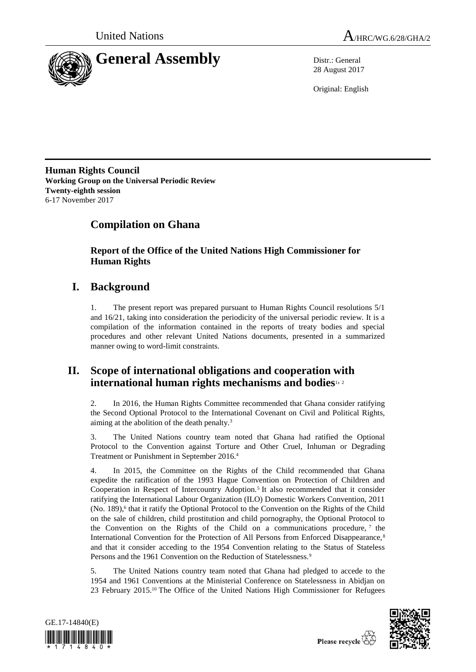



28 August 2017

Original: English

**Human Rights Council Working Group on the Universal Periodic Review Twenty-eighth session** 6-17 November 2017

# **Compilation on Ghana**

**Report of the Office of the United Nations High Commissioner for Human Rights**

## **I. Background**

1. The present report was prepared pursuant to Human Rights Council resolutions 5/1 and 16/21, taking into consideration the periodicity of the universal periodic review. It is a compilation of the information contained in the reports of treaty bodies and special procedures and other relevant United Nations documents, presented in a summarized manner owing to word-limit constraints.

## **II. Scope of international obligations and cooperation with international human rights mechanisms and bodies**1, <sup>2</sup>

2. In 2016, the Human Rights Committee recommended that Ghana consider ratifying the Second Optional Protocol to the International Covenant on Civil and Political Rights, aiming at the abolition of the death penalty.<sup>3</sup>

3. The United Nations country team noted that Ghana had ratified the Optional Protocol to the Convention against Torture and Other Cruel, Inhuman or Degrading Treatment or Punishment in September 2016.<sup>4</sup>

4. In 2015, the Committee on the Rights of the Child recommended that Ghana expedite the ratification of the 1993 Hague Convention on Protection of Children and Cooperation in Respect of Intercountry Adoption.<sup>5</sup> It also recommended that it consider ratifying the International Labour Organization (ILO) Domestic Workers Convention, 2011 (No. 189),<sup>6</sup> that it ratify the Optional Protocol to the Convention on the Rights of the Child on the sale of children, child prostitution and child pornography, the Optional Protocol to the Convention on the Rights of the Child on a communications procedure,  $\frac{7}{1}$  the International Convention for the Protection of All Persons from Enforced Disappearance,<sup>8</sup> and that it consider acceding to the 1954 Convention relating to the Status of Stateless Persons and the 1961 Convention on the Reduction of Statelessness.<sup>9</sup>

5. The United Nations country team noted that Ghana had pledged to accede to the 1954 and 1961 Conventions at the Ministerial Conference on Statelessness in Abidjan on 23 February 2015.<sup>10</sup> The Office of the United Nations High Commissioner for Refugees





Please recycle  $\overleftrightarrow{C}$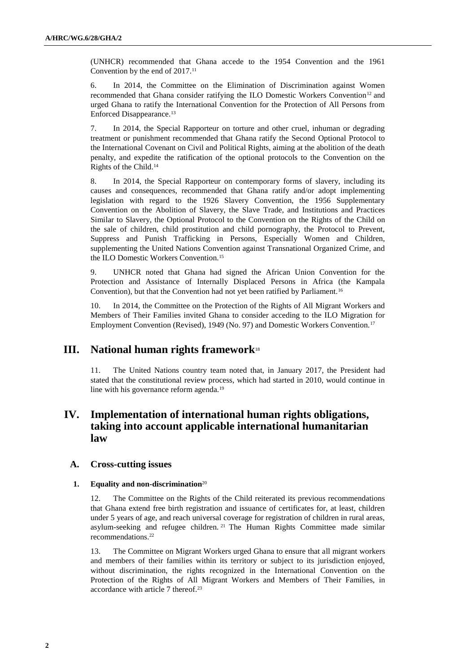(UNHCR) recommended that Ghana accede to the 1954 Convention and the 1961 Convention by the end of 2017.<sup>11</sup>

6. In 2014, the Committee on the Elimination of Discrimination against Women recommended that Ghana consider ratifying the ILO Domestic Workers Convention<sup>12</sup> and urged Ghana to ratify the International Convention for the Protection of All Persons from Enforced Disappearance.<sup>13</sup>

7. In 2014, the Special Rapporteur on torture and other cruel, inhuman or degrading treatment or punishment recommended that Ghana ratify the Second Optional Protocol to the International Covenant on Civil and Political Rights, aiming at the abolition of the death penalty, and expedite the ratification of the optional protocols to the Convention on the Rights of the Child.<sup>14</sup>

8. In 2014, the Special Rapporteur on contemporary forms of slavery, including its causes and consequences, recommended that Ghana ratify and/or adopt implementing legislation with regard to the 1926 Slavery Convention, the 1956 Supplementary Convention on the Abolition of Slavery, the Slave Trade, and Institutions and Practices Similar to Slavery, the Optional Protocol to the Convention on the Rights of the Child on the sale of children, child prostitution and child pornography, the Protocol to Prevent, Suppress and Punish Trafficking in Persons, Especially Women and Children, supplementing the United Nations Convention against Transnational Organized Crime, and the ILO Domestic Workers Convention.<sup>15</sup>

9. UNHCR noted that Ghana had signed the African Union Convention for the Protection and Assistance of Internally Displaced Persons in Africa (the Kampala Convention), but that the Convention had not yet been ratified by Parliament.<sup>16</sup>

10. In 2014, the Committee on the Protection of the Rights of All Migrant Workers and Members of Their Families invited Ghana to consider acceding to the ILO Migration for Employment Convention (Revised), 1949 (No. 97) and Domestic Workers Convention.<sup>17</sup>

## **III. National human rights framework**<sup>18</sup>

11. The United Nations country team noted that, in January 2017, the President had stated that the constitutional review process, which had started in 2010, would continue in line with his governance reform agenda.<sup>19</sup>

## **IV. Implementation of international human rights obligations, taking into account applicable international humanitarian law**

## **A. Cross-cutting issues**

### **1. Equality and non-discrimination**<sup>20</sup>

12. The Committee on the Rights of the Child reiterated its previous recommendations that Ghana extend free birth registration and issuance of certificates for, at least, children under 5 years of age, and reach universal coverage for registration of children in rural areas, asylum-seeking and refugee children. <sup>21</sup> The Human Rights Committee made similar recommendations.<sup>22</sup>

13. The Committee on Migrant Workers urged Ghana to ensure that all migrant workers and members of their families within its territory or subject to its jurisdiction enjoyed, without discrimination, the rights recognized in the International Convention on the Protection of the Rights of All Migrant Workers and Members of Their Families, in accordance with article 7 thereof.<sup>23</sup>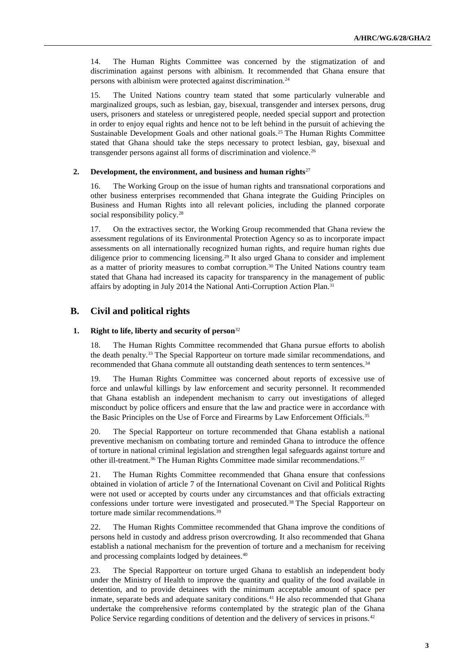14. The Human Rights Committee was concerned by the stigmatization of and discrimination against persons with albinism. It recommended that Ghana ensure that persons with albinism were protected against discrimination.<sup>24</sup>

15. The United Nations country team stated that some particularly vulnerable and marginalized groups, such as lesbian, gay, bisexual, transgender and intersex persons, drug users, prisoners and stateless or unregistered people, needed special support and protection in order to enjoy equal rights and hence not to be left behind in the pursuit of achieving the Sustainable Development Goals and other national goals.<sup>25</sup> The Human Rights Committee stated that Ghana should take the steps necessary to protect lesbian, gay, bisexual and transgender persons against all forms of discrimination and violence.<sup>26</sup>

#### **2. Development, the environment, and business and human rights**<sup>27</sup>

16. The Working Group on the issue of human rights and transnational corporations and other business enterprises recommended that Ghana integrate the Guiding Principles on Business and Human Rights into all relevant policies, including the planned corporate social responsibility policy.<sup>28</sup>

17. On the extractives sector, the Working Group recommended that Ghana review the assessment regulations of its Environmental Protection Agency so as to incorporate impact assessments on all internationally recognized human rights, and require human rights due diligence prior to commencing licensing.<sup>29</sup> It also urged Ghana to consider and implement as a matter of priority measures to combat corruption.<sup>30</sup> The United Nations country team stated that Ghana had increased its capacity for transparency in the management of public affairs by adopting in July 2014 the National Anti-Corruption Action Plan.<sup>31</sup>

## **B. Civil and political rights**

#### **1. Right to life, liberty and security of person**<sup>32</sup>

18. The Human Rights Committee recommended that Ghana pursue efforts to abolish the death penalty.<sup>33</sup> The Special Rapporteur on torture made similar recommendations, and recommended that Ghana commute all outstanding death sentences to term sentences.<sup>34</sup>

19. The Human Rights Committee was concerned about reports of excessive use of force and unlawful killings by law enforcement and security personnel. It recommended that Ghana establish an independent mechanism to carry out investigations of alleged misconduct by police officers and ensure that the law and practice were in accordance with the Basic Principles on the Use of Force and Firearms by Law Enforcement Officials.<sup>35</sup>

20. The Special Rapporteur on torture recommended that Ghana establish a national preventive mechanism on combating torture and reminded Ghana to introduce the offence of torture in national criminal legislation and strengthen legal safeguards against torture and other ill-treatment.<sup>36</sup> The Human Rights Committee made similar recommendations.<sup>37</sup>

21. The Human Rights Committee recommended that Ghana ensure that confessions obtained in violation of article 7 of the International Covenant on Civil and Political Rights were not used or accepted by courts under any circumstances and that officials extracting confessions under torture were investigated and prosecuted.<sup>38</sup> The Special Rapporteur on torture made similar recommendations.<sup>39</sup>

22. The Human Rights Committee recommended that Ghana improve the conditions of persons held in custody and address prison overcrowding. It also recommended that Ghana establish a national mechanism for the prevention of torture and a mechanism for receiving and processing complaints lodged by detainees.<sup>40</sup>

23. The Special Rapporteur on torture urged Ghana to establish an independent body under the Ministry of Health to improve the quantity and quality of the food available in detention, and to provide detainees with the minimum acceptable amount of space per inmate, separate beds and adequate sanitary conditions.<sup>41</sup> He also recommended that Ghana undertake the comprehensive reforms contemplated by the strategic plan of the Ghana Police Service regarding conditions of detention and the delivery of services in prisons.<sup>42</sup>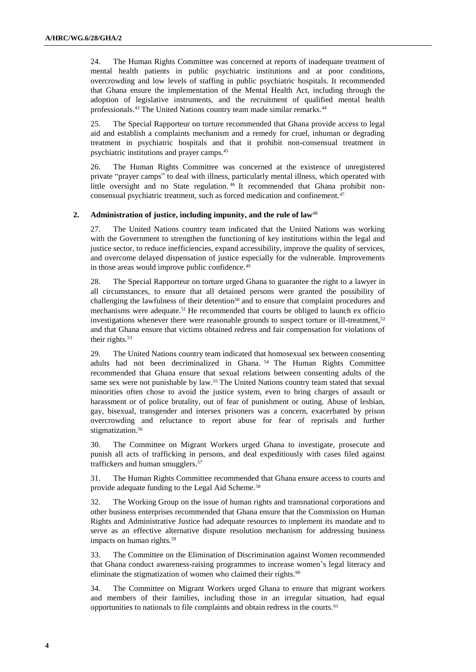24. The Human Rights Committee was concerned at reports of inadequate treatment of mental health patients in public psychiatric institutions and at poor conditions, overcrowding and low levels of staffing in public psychiatric hospitals. It recommended that Ghana ensure the implementation of the Mental Health Act, including through the adoption of legislative instruments, and the recruitment of qualified mental health professionals.<sup>43</sup> The United Nations country team made similar remarks.<sup>44</sup>

25. The Special Rapporteur on torture recommended that Ghana provide access to legal aid and establish a complaints mechanism and a remedy for cruel, inhuman or degrading treatment in psychiatric hospitals and that it prohibit non-consensual treatment in psychiatric institutions and prayer camps.<sup>45</sup>

26. The Human Rights Committee was concerned at the existence of unregistered private "prayer camps" to deal with illness, particularly mental illness, which operated with little oversight and no State regulation. <sup>46</sup> It recommended that Ghana prohibit nonconsensual psychiatric treatment, such as forced medication and confinement.<sup>47</sup>

#### **2. Administration of justice, including impunity, and the rule of law**<sup>48</sup>

27. The United Nations country team indicated that the United Nations was working with the Government to strengthen the functioning of key institutions within the legal and justice sector, to reduce inefficiencies, expand accessibility, improve the quality of services, and overcome delayed dispensation of justice especially for the vulnerable. Improvements in those areas would improve public confidence.<sup>49</sup>

28. The Special Rapporteur on torture urged Ghana to guarantee the right to a lawyer in all circumstances, to ensure that all detained persons were granted the possibility of challenging the lawfulness of their detention<sup>50</sup> and to ensure that complaint procedures and mechanisms were adequate.<sup>51</sup> He recommended that courts be obliged to launch ex officio investigations whenever there were reasonable grounds to suspect torture or ill-treatment, $52$ and that Ghana ensure that victims obtained redress and fair compensation for violations of their rights.<sup>53</sup>

29. The United Nations country team indicated that homosexual sex between consenting adults had not been decriminalized in Ghana. <sup>54</sup> The Human Rights Committee recommended that Ghana ensure that sexual relations between consenting adults of the same sex were not punishable by law.<sup>55</sup> The United Nations country team stated that sexual minorities often chose to avoid the justice system, even to bring charges of assault or harassment or of police brutality, out of fear of punishment or outing. Abuse of lesbian, gay, bisexual, transgender and intersex prisoners was a concern, exacerbated by prison overcrowding and reluctance to report abuse for fear of reprisals and further stigmatization.<sup>56</sup>

30. The Committee on Migrant Workers urged Ghana to investigate, prosecute and punish all acts of trafficking in persons, and deal expeditiously with cases filed against traffickers and human smugglers.<sup>57</sup>

31. The Human Rights Committee recommended that Ghana ensure access to courts and provide adequate funding to the Legal Aid Scheme.<sup>58</sup>

32. The Working Group on the issue of human rights and transnational corporations and other business enterprises recommended that Ghana ensure that the Commission on Human Rights and Administrative Justice had adequate resources to implement its mandate and to serve as an effective alternative dispute resolution mechanism for addressing business impacts on human rights.<sup>59</sup>

33. The Committee on the Elimination of Discrimination against Women recommended that Ghana conduct awareness-raising programmes to increase women's legal literacy and eliminate the stigmatization of women who claimed their rights.<sup>60</sup>

34. The Committee on Migrant Workers urged Ghana to ensure that migrant workers and members of their families, including those in an irregular situation, had equal opportunities to nationals to file complaints and obtain redress in the courts.<sup>61</sup>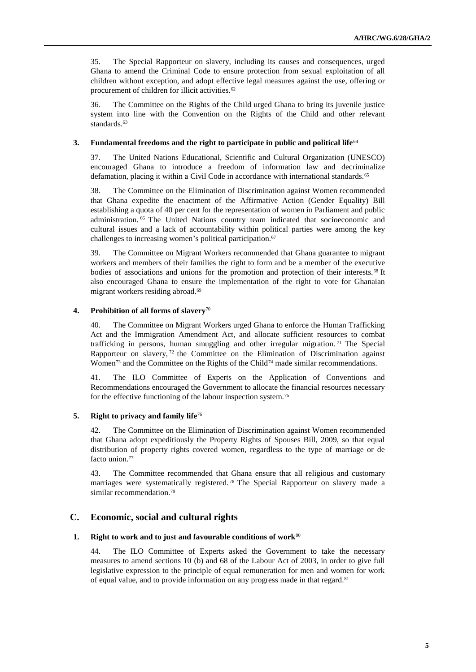35. The Special Rapporteur on slavery, including its causes and consequences, urged Ghana to amend the Criminal Code to ensure protection from sexual exploitation of all children without exception, and adopt effective legal measures against the use, offering or procurement of children for illicit activities.<sup>62</sup>

36. The Committee on the Rights of the Child urged Ghana to bring its juvenile justice system into line with the Convention on the Rights of the Child and other relevant standards.<sup>63</sup>

#### **3. Fundamental freedoms and the right to participate in public and political life**<sup>64</sup>

37. The United Nations Educational, Scientific and Cultural Organization (UNESCO) encouraged Ghana to introduce a freedom of information law and decriminalize defamation, placing it within a Civil Code in accordance with international standards.<sup>65</sup>

38. The Committee on the Elimination of Discrimination against Women recommended that Ghana expedite the enactment of the Affirmative Action (Gender Equality) Bill establishing a quota of 40 per cent for the representation of women in Parliament and public administration. <sup>66</sup> The United Nations country team indicated that socioeconomic and cultural issues and a lack of accountability within political parties were among the key challenges to increasing women's political participation.<sup>67</sup>

39. The Committee on Migrant Workers recommended that Ghana guarantee to migrant workers and members of their families the right to form and be a member of the executive bodies of associations and unions for the promotion and protection of their interests.<sup>68</sup> It also encouraged Ghana to ensure the implementation of the right to vote for Ghanaian migrant workers residing abroad.<sup>69</sup>

#### **4. Prohibition of all forms of slavery**<sup>70</sup>

40. The Committee on Migrant Workers urged Ghana to enforce the Human Trafficking Act and the Immigration Amendment Act, and allocate sufficient resources to combat trafficking in persons, human smuggling and other irregular migration. <sup>71</sup> The Special Rapporteur on slavery,<sup>72</sup> the Committee on the Elimination of Discrimination against Women<sup>73</sup> and the Committee on the Rights of the Child<sup>74</sup> made similar recommendations.

41. The ILO Committee of Experts on the Application of Conventions and Recommendations encouraged the Government to allocate the financial resources necessary for the effective functioning of the labour inspection system.<sup>75</sup>

#### **5. Right to privacy and family life**<sup>76</sup>

42. The Committee on the Elimination of Discrimination against Women recommended that Ghana adopt expeditiously the Property Rights of Spouses Bill, 2009, so that equal distribution of property rights covered women, regardless to the type of marriage or de facto union.<sup>77</sup>

43. The Committee recommended that Ghana ensure that all religious and customary marriages were systematically registered. <sup>78</sup> The Special Rapporteur on slavery made a similar recommendation.<sup>79</sup>

## **C. Economic, social and cultural rights**

#### **1. Right to work and to just and favourable conditions of work**<sup>80</sup>

44. The ILO Committee of Experts asked the Government to take the necessary measures to amend sections 10 (b) and 68 of the Labour Act of 2003, in order to give full legislative expression to the principle of equal remuneration for men and women for work of equal value, and to provide information on any progress made in that regard.<sup>81</sup>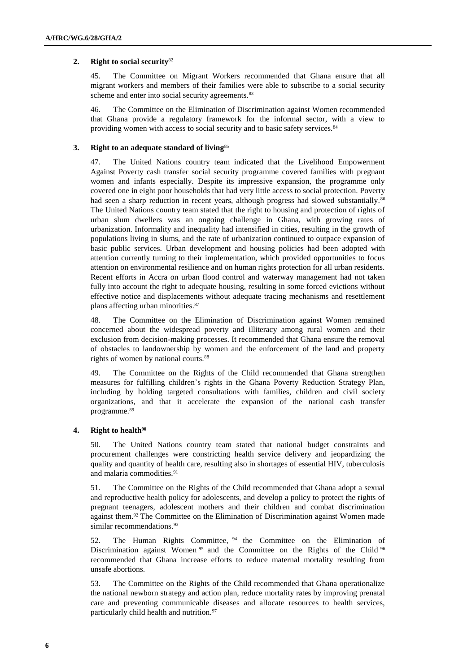## **2. Right to social security**<sup>82</sup>

45. The Committee on Migrant Workers recommended that Ghana ensure that all migrant workers and members of their families were able to subscribe to a social security scheme and enter into social security agreements.<sup>83</sup>

46. The Committee on the Elimination of Discrimination against Women recommended that Ghana provide a regulatory framework for the informal sector, with a view to providing women with access to social security and to basic safety services.<sup>84</sup>

### **3. Right to an adequate standard of living**<sup>85</sup>

47. The United Nations country team indicated that the Livelihood Empowerment Against Poverty cash transfer social security programme covered families with pregnant women and infants especially. Despite its impressive expansion, the programme only covered one in eight poor households that had very little access to social protection. Poverty had seen a sharp reduction in recent years, although progress had slowed substantially.<sup>86</sup> The United Nations country team stated that the right to housing and protection of rights of urban slum dwellers was an ongoing challenge in Ghana, with growing rates of urbanization. Informality and inequality had intensified in cities, resulting in the growth of populations living in slums, and the rate of urbanization continued to outpace expansion of basic public services. Urban development and housing policies had been adopted with attention currently turning to their implementation, which provided opportunities to focus attention on environmental resilience and on human rights protection for all urban residents. Recent efforts in Accra on urban flood control and waterway management had not taken fully into account the right to adequate housing, resulting in some forced evictions without effective notice and displacements without adequate tracing mechanisms and resettlement plans affecting urban minorities.<sup>87</sup>

48. The Committee on the Elimination of Discrimination against Women remained concerned about the widespread poverty and illiteracy among rural women and their exclusion from decision-making processes. It recommended that Ghana ensure the removal of obstacles to landownership by women and the enforcement of the land and property rights of women by national courts.<sup>88</sup>

49. The Committee on the Rights of the Child recommended that Ghana strengthen measures for fulfilling children's rights in the Ghana Poverty Reduction Strategy Plan, including by holding targeted consultations with families, children and civil society organizations, and that it accelerate the expansion of the national cash transfer programme.<sup>89</sup>

#### **4. Right to health<sup>90</sup>**

50. The United Nations country team stated that national budget constraints and procurement challenges were constricting health service delivery and jeopardizing the quality and quantity of health care, resulting also in shortages of essential HIV, tuberculosis and malaria commodities.<sup>91</sup>

51. The Committee on the Rights of the Child recommended that Ghana adopt a sexual and reproductive health policy for adolescents, and develop a policy to protect the rights of pregnant teenagers, adolescent mothers and their children and combat discrimination against them.<sup>92</sup> The Committee on the Elimination of Discrimination against Women made similar recommendations.<sup>93</sup>

52. The Human Rights Committee, <sup>94</sup> the Committee on the Elimination of Discrimination against Women <sup>95</sup> and the Committee on the Rights of the Child <sup>96</sup> recommended that Ghana increase efforts to reduce maternal mortality resulting from unsafe abortions.

53. The Committee on the Rights of the Child recommended that Ghana operationalize the national newborn strategy and action plan, reduce mortality rates by improving prenatal care and preventing communicable diseases and allocate resources to health services, particularly child health and nutrition.<sup>97</sup>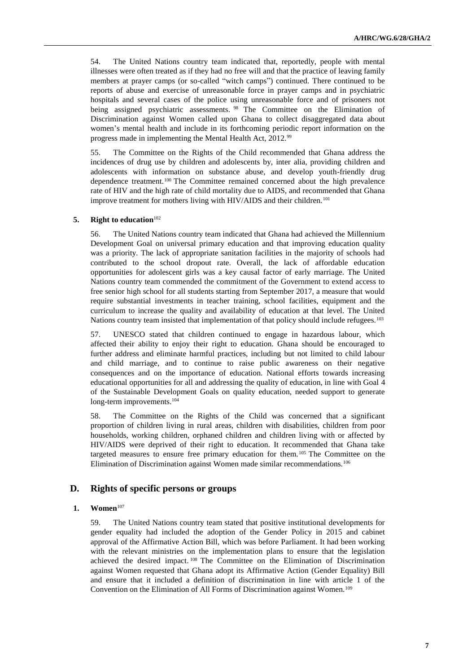54. The United Nations country team indicated that, reportedly, people with mental illnesses were often treated as if they had no free will and that the practice of leaving family members at prayer camps (or so-called "witch camps") continued. There continued to be reports of abuse and exercise of unreasonable force in prayer camps and in psychiatric hospitals and several cases of the police using unreasonable force and of prisoners not being assigned psychiatric assessments. <sup>98</sup> The Committee on the Elimination of Discrimination against Women called upon Ghana to collect disaggregated data about women's mental health and include in its forthcoming periodic report information on the progress made in implementing the Mental Health Act, 2012.99

55. The Committee on the Rights of the Child recommended that Ghana address the incidences of drug use by children and adolescents by, inter alia, providing children and adolescents with information on substance abuse, and develop youth-friendly drug dependence treatment.<sup>100</sup> The Committee remained concerned about the high prevalence rate of HIV and the high rate of child mortality due to AIDS, and recommended that Ghana improve treatment for mothers living with HIV/AIDS and their children.<sup>101</sup>

### **5. Right to education**<sup>102</sup>

56. The United Nations country team indicated that Ghana had achieved the Millennium Development Goal on universal primary education and that improving education quality was a priority. The lack of appropriate sanitation facilities in the majority of schools had contributed to the school dropout rate. Overall, the lack of affordable education opportunities for adolescent girls was a key causal factor of early marriage. The United Nations country team commended the commitment of the Government to extend access to free senior high school for all students starting from September 2017, a measure that would require substantial investments in teacher training, school facilities, equipment and the curriculum to increase the quality and availability of education at that level. The United Nations country team insisted that implementation of that policy should include refugees.<sup>103</sup>

57. UNESCO stated that children continued to engage in hazardous labour, which affected their ability to enjoy their right to education. Ghana should be encouraged to further address and eliminate harmful practices, including but not limited to child labour and child marriage, and to continue to raise public awareness on their negative consequences and on the importance of education. National efforts towards increasing educational opportunities for all and addressing the quality of education, in line with Goal 4 of the Sustainable Development Goals on quality education, needed support to generate long-term improvements.<sup>104</sup>

58. The Committee on the Rights of the Child was concerned that a significant proportion of children living in rural areas, children with disabilities, children from poor households, working children, orphaned children and children living with or affected by HIV/AIDS were deprived of their right to education. It recommended that Ghana take targeted measures to ensure free primary education for them. <sup>105</sup> The Committee on the Elimination of Discrimination against Women made similar recommendations.<sup>106</sup>

## **D. Rights of specific persons or groups**

#### **1. Women**<sup>107</sup>

59. The United Nations country team stated that positive institutional developments for gender equality had included the adoption of the Gender Policy in 2015 and cabinet approval of the Affirmative Action Bill, which was before Parliament. It had been working with the relevant ministries on the implementation plans to ensure that the legislation achieved the desired impact. <sup>108</sup> The Committee on the Elimination of Discrimination against Women requested that Ghana adopt its Affirmative Action (Gender Equality) Bill and ensure that it included a definition of discrimination in line with article 1 of the Convention on the Elimination of All Forms of Discrimination against Women.109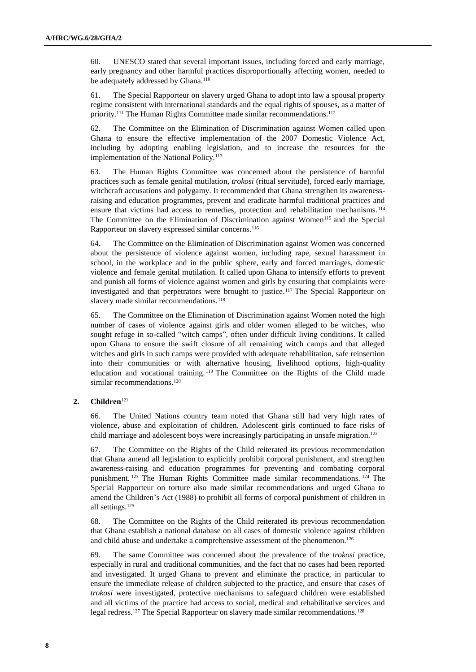60. UNESCO stated that several important issues, including forced and early marriage, early pregnancy and other harmful practices disproportionally affecting women, needed to be adequately addressed by Ghana.<sup>110</sup>

61. The Special Rapporteur on slavery urged Ghana to adopt into law a spousal property regime consistent with international standards and the equal rights of spouses, as a matter of priority.<sup>111</sup> The Human Rights Committee made similar recommendations.<sup>112</sup>

62. The Committee on the Elimination of Discrimination against Women called upon Ghana to ensure the effective implementation of the 2007 Domestic Violence Act, including by adopting enabling legislation, and to increase the resources for the implementation of the National Policy.<sup>113</sup>

63. The Human Rights Committee was concerned about the persistence of harmful practices such as female genital mutilation, *trokosi* (ritual servitude), forced early marriage, witchcraft accusations and polygamy. It recommended that Ghana strengthen its awarenessraising and education programmes, prevent and eradicate harmful traditional practices and ensure that victims had access to remedies, protection and rehabilitation mechanisms. <sup>114</sup> The Committee on the Elimination of Discrimination against Women<sup>115</sup> and the Special Rapporteur on slavery expressed similar concerns.<sup>116</sup>

64. The Committee on the Elimination of Discrimination against Women was concerned about the persistence of violence against women, including rape, sexual harassment in school, in the workplace and in the public sphere, early and forced marriages, domestic violence and female genital mutilation. It called upon Ghana to intensify efforts to prevent and punish all forms of violence against women and girls by ensuring that complaints were investigated and that perpetrators were brought to justice.<sup>117</sup> The Special Rapporteur on slavery made similar recommendations.<sup>118</sup>

65. The Committee on the Elimination of Discrimination against Women noted the high number of cases of violence against girls and older women alleged to be witches, who sought refuge in so-called "witch camps", often under difficult living conditions. It called upon Ghana to ensure the swift closure of all remaining witch camps and that alleged witches and girls in such camps were provided with adequate rehabilitation, safe reinsertion into their communities or with alternative housing, livelihood options, high-quality education and vocational training. <sup>119</sup> The Committee on the Rights of the Child made similar recommendations.<sup>120</sup>

#### **2. Children**<sup>121</sup>

66. The United Nations country team noted that Ghana still had very high rates of violence, abuse and exploitation of children. Adolescent girls continued to face risks of child marriage and adolescent boys were increasingly participating in unsafe migration.<sup>122</sup>

67. The Committee on the Rights of the Child reiterated its previous recommendation that Ghana amend all legislation to explicitly prohibit corporal punishment, and strengthen awareness-raising and education programmes for preventing and combating corporal punishment. <sup>123</sup> The Human Rights Committee made similar recommendations. <sup>124</sup> The Special Rapporteur on torture also made similar recommendations and urged Ghana to amend the Children's Act (1988) to prohibit all forms of corporal punishment of children in all settings.<sup>125</sup>

68. The Committee on the Rights of the Child reiterated its previous recommendation that Ghana establish a national database on all cases of domestic violence against children and child abuse and undertake a comprehensive assessment of the phenomenon.<sup>126</sup>

69. The same Committee was concerned about the prevalence of the *trokosi* practice, especially in rural and traditional communities, and the fact that no cases had been reported and investigated. It urged Ghana to prevent and eliminate the practice, in particular to ensure the immediate release of children subjected to the practice, and ensure that cases of *trokosi* were investigated, protective mechanisms to safeguard children were established and all victims of the practice had access to social, medical and rehabilitative services and legal redress.<sup>127</sup> The Special Rapporteur on slavery made similar recommendations.<sup>128</sup>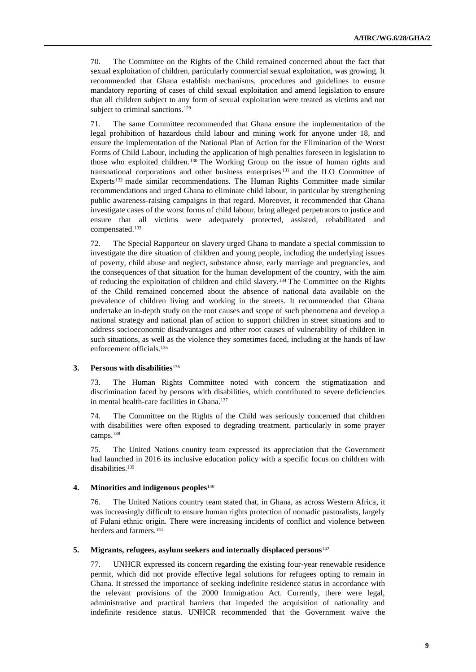70. The Committee on the Rights of the Child remained concerned about the fact that sexual exploitation of children, particularly commercial sexual exploitation, was growing. It recommended that Ghana establish mechanisms, procedures and guidelines to ensure mandatory reporting of cases of child sexual exploitation and amend legislation to ensure that all children subject to any form of sexual exploitation were treated as victims and not subject to criminal sanctions.<sup>129</sup>

71. The same Committee recommended that Ghana ensure the implementation of the legal prohibition of hazardous child labour and mining work for anyone under 18, and ensure the implementation of the National Plan of Action for the Elimination of the Worst Forms of Child Labour, including the application of high penalties foreseen in legislation to those who exploited children.<sup>130</sup> The Working Group on the issue of human rights and transnational corporations and other business enterprises <sup>131</sup> and the ILO Committee of Experts<sup>132</sup> made similar recommendations. The Human Rights Committee made similar recommendations and urged Ghana to eliminate child labour, in particular by strengthening public awareness-raising campaigns in that regard. Moreover, it recommended that Ghana investigate cases of the worst forms of child labour, bring alleged perpetrators to justice and ensure that all victims were adequately protected, assisted, rehabilitated and compensated.<sup>133</sup>

72. The Special Rapporteur on slavery urged Ghana to mandate a special commission to investigate the dire situation of children and young people, including the underlying issues of poverty, child abuse and neglect, substance abuse, early marriage and pregnancies, and the consequences of that situation for the human development of the country, with the aim of reducing the exploitation of children and child slavery.<sup>134</sup> The Committee on the Rights of the Child remained concerned about the absence of national data available on the prevalence of children living and working in the streets. It recommended that Ghana undertake an in-depth study on the root causes and scope of such phenomena and develop a national strategy and national plan of action to support children in street situations and to address socioeconomic disadvantages and other root causes of vulnerability of children in such situations, as well as the violence they sometimes faced, including at the hands of law enforcement officials.<sup>135</sup>

#### **3. Persons with disabilities**<sup>136</sup>

73. The Human Rights Committee noted with concern the stigmatization and discrimination faced by persons with disabilities, which contributed to severe deficiencies in mental health-care facilities in Ghana.<sup>137</sup>

74. The Committee on the Rights of the Child was seriously concerned that children with disabilities were often exposed to degrading treatment, particularly in some prayer camps.<sup>138</sup>

75. The United Nations country team expressed its appreciation that the Government had launched in 2016 its inclusive education policy with a specific focus on children with disabilities.<sup>139</sup>

#### **4. Minorities and indigenous peoples**<sup>140</sup>

76. The United Nations country team stated that, in Ghana, as across Western Africa, it was increasingly difficult to ensure human rights protection of nomadic pastoralists, largely of Fulani ethnic origin. There were increasing incidents of conflict and violence between herders and farmers.<sup>141</sup>

#### **5. Migrants, refugees, asylum seekers and internally displaced persons**<sup>142</sup>

77. UNHCR expressed its concern regarding the existing four-year renewable residence permit, which did not provide effective legal solutions for refugees opting to remain in Ghana. It stressed the importance of seeking indefinite residence status in accordance with the relevant provisions of the 2000 Immigration Act. Currently, there were legal, administrative and practical barriers that impeded the acquisition of nationality and indefinite residence status. UNHCR recommended that the Government waive the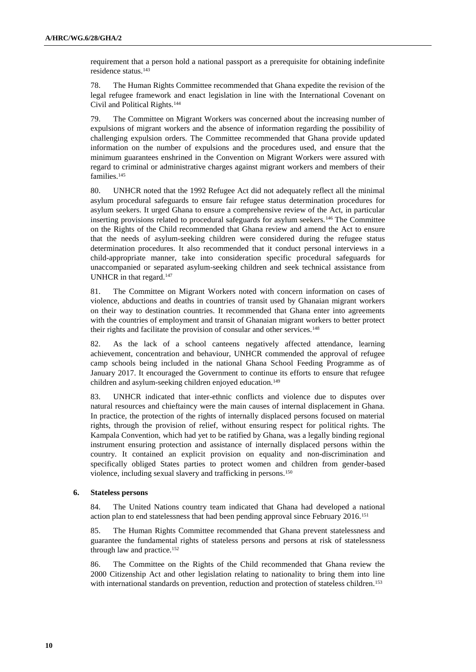requirement that a person hold a national passport as a prerequisite for obtaining indefinite residence status.<sup>143</sup>

78. The Human Rights Committee recommended that Ghana expedite the revision of the legal refugee framework and enact legislation in line with the International Covenant on Civil and Political Rights.<sup>144</sup>

79. The Committee on Migrant Workers was concerned about the increasing number of expulsions of migrant workers and the absence of information regarding the possibility of challenging expulsion orders. The Committee recommended that Ghana provide updated information on the number of expulsions and the procedures used, and ensure that the minimum guarantees enshrined in the Convention on Migrant Workers were assured with regard to criminal or administrative charges against migrant workers and members of their families.<sup>145</sup>

80. UNHCR noted that the 1992 Refugee Act did not adequately reflect all the minimal asylum procedural safeguards to ensure fair refugee status determination procedures for asylum seekers. It urged Ghana to ensure a comprehensive review of the Act, in particular inserting provisions related to procedural safeguards for asylum seekers.<sup>146</sup> The Committee on the Rights of the Child recommended that Ghana review and amend the Act to ensure that the needs of asylum-seeking children were considered during the refugee status determination procedures. It also recommended that it conduct personal interviews in a child-appropriate manner, take into consideration specific procedural safeguards for unaccompanied or separated asylum-seeking children and seek technical assistance from UNHCR in that regard.<sup>147</sup>

81. The Committee on Migrant Workers noted with concern information on cases of violence, abductions and deaths in countries of transit used by Ghanaian migrant workers on their way to destination countries. It recommended that Ghana enter into agreements with the countries of employment and transit of Ghanaian migrant workers to better protect their rights and facilitate the provision of consular and other services.<sup>148</sup>

82. As the lack of a school canteens negatively affected attendance, learning achievement, concentration and behaviour, UNHCR commended the approval of refugee camp schools being included in the national Ghana School Feeding Programme as of January 2017. It encouraged the Government to continue its efforts to ensure that refugee children and asylum-seeking children enjoyed education.<sup>149</sup>

83. UNHCR indicated that inter-ethnic conflicts and violence due to disputes over natural resources and chieftaincy were the main causes of internal displacement in Ghana. In practice, the protection of the rights of internally displaced persons focused on material rights, through the provision of relief, without ensuring respect for political rights. The Kampala Convention, which had yet to be ratified by Ghana, was a legally binding regional instrument ensuring protection and assistance of internally displaced persons within the country. It contained an explicit provision on equality and non-discrimination and specifically obliged States parties to protect women and children from gender-based violence, including sexual slavery and trafficking in persons.<sup>150</sup>

### **6. Stateless persons**

84. The United Nations country team indicated that Ghana had developed a national action plan to end statelessness that had been pending approval since February 2016.<sup>151</sup>

85. The Human Rights Committee recommended that Ghana prevent statelessness and guarantee the fundamental rights of stateless persons and persons at risk of statelessness through law and practice.<sup>152</sup>

86. The Committee on the Rights of the Child recommended that Ghana review the 2000 Citizenship Act and other legislation relating to nationality to bring them into line with international standards on prevention, reduction and protection of stateless children.<sup>153</sup>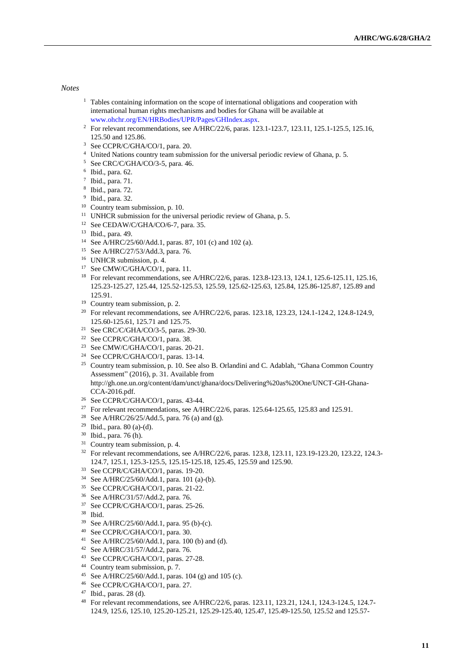#### *Notes*

- <sup>1</sup> Tables containing information on the scope of international obligations and cooperation with international human rights mechanisms and bodies for Ghana will be available at [www.ohchr.org/EN/HRBodies/UPR/Pages/GHIndex.aspx.](file:///C:/Users/Fletcher/Downloads/www.ohchr.org/EN/HRBodies/UPR/Pages/GHIndex.aspx)
- <sup>2</sup> For relevant recommendations, see A/HRC/22/6, paras. 123.1-123.7, 123.11, 125.1-125.5, 125.16, 125.50 and 125.86.
- <sup>3</sup> See CCPR/C/GHA/CO/1, para. 20.
- <sup>4</sup> United Nations country team submission for the universal periodic review of Ghana, p. 5.
- <sup>5</sup> See CRC/C/GHA/CO/3-5, para. 46.
- 6 Ibid., para. 62.
- 7 Ibid., para. 71.
- 8 Ibid., para. 72.
- 9 Ibid., para. 32.
- <sup>10</sup> Country team submission, p. 10.
- <sup>11</sup> UNHCR submission for the universal periodic review of Ghana, p. 5.
- <sup>12</sup> See CEDAW/C/GHA/CO/6-7, para.  $35$ .
- <sup>13</sup> Ibid., para. 49.
- <sup>14</sup> See A/HRC/25/60/Add.1, paras. 87, 101 (c) and 102 (a).
- <sup>15</sup> See A/HRC/27/53/Add.3, para. 76.
- <sup>16</sup> UNHCR submission, p. 4.
- <sup>17</sup> See CMW/C/GHA/CO/1, para. 11.
- <sup>18</sup> For relevant recommendations, see A/HRC/22/6, paras. 123.8-123.13, 124.1, 125.6-125.11, 125.16, 125.23-125.27, 125.44, 125.52-125.53, 125.59, 125.62-125.63, 125.84, 125.86-125.87, 125.89 and 125.91.
- <sup>19</sup> Country team submission, p. 2.
- <sup>20</sup> For relevant recommendations, see A/HRC/22/6, paras. 123.18, 123.23, 124.1-124.2, 124.8-124.9, 125.60-125.61, 125.71 and 125.75.
- <sup>21</sup> See CRC/C/GHA/CO/3-5, paras. 29-30.
- <sup>22</sup> See CCPR/C/GHA/CO/1, para. 38.
- <sup>23</sup> See CMW/C/GHA/CO/1, paras.  $20-21$ .
- <sup>24</sup> See CCPR/C/GHA/CO/1, paras. 13-14.
- <sup>25</sup> Country team submission, p. 10. See also B. Orlandini and C. Adablah, "Ghana Common Country" Assessment" (2016), p. 31. Available from http://gh.one.un.org/content/dam/unct/ghana/docs/Delivering%20as%20One/UNCT-GH-Ghana-
- CCA-2016.pdf.
- $26$  See CCPR/C/GHA/CO/1, paras. 43-44.
- <sup>27</sup> For relevant recommendations, see A/HRC/22/6, paras. 125.64-125.65, 125.83 and 125.91.
- <sup>28</sup> See A/HRC/26/25/Add.5, para. 76 (a) and (g).
- <sup>29</sup> Ibid., para. 80 (a)-(d).
- <sup>30</sup> Ibid., para. 76 (h).
- <sup>31</sup> Country team submission, p. 4.
- <sup>32</sup> For relevant recommendations, see A/HRC/22/6, paras. 123.8, 123.11, 123.19-123.20, 123.22, 124.3- 124.7, 125.1, 125.3-125.5, 125.15-125.18, 125.45, 125.59 and 125.90.
- <sup>33</sup> See CCPR/C/GHA/CO/1, paras. 19-20.
- <sup>34</sup> See A/HRC/25/60/Add.1, para. 101 (a)-(b).
- <sup>35</sup> See CCPR/C/GHA/CO/1, paras. 21-22.
- <sup>36</sup> See A/HRC/31/57/Add.2, para. 76.
- <sup>37</sup> See CCPR/C/GHA/CO/1, paras. 25-26.
- <sup>38</sup> Ibid.
- <sup>39</sup> See A/HRC/25/60/Add.1, para. 95 (b)-(c).
- <sup>40</sup> See CCPR/C/GHA/CO/1, para. 30.
- <sup>41</sup> See A/HRC/25/60/Add.1, para. 100 (b) and (d).
- <sup>42</sup> See A/HRC/31/57/Add.2, para. 76.
- <sup>43</sup> See CCPR/C/GHA/CO/1, paras. 27-28.
- <sup>44</sup> Country team submission, p. 7.
- <sup>45</sup> See A/HRC/25/60/Add.1, paras. 104 (g) and 105 (c).
- <sup>46</sup> See CCPR/C/GHA/CO/1, para. 27.
- <sup>47</sup> Ibid., paras. 28 (d).
- <sup>48</sup> For relevant recommendations, see A/HRC/22/6, paras. 123.11, 123.21, 124.1, 124.3-124.5, 124.7- 124.9, 125.6, 125.10, 125.20-125.21, 125.29-125.40, 125.47, 125.49-125.50, 125.52 and 125.57-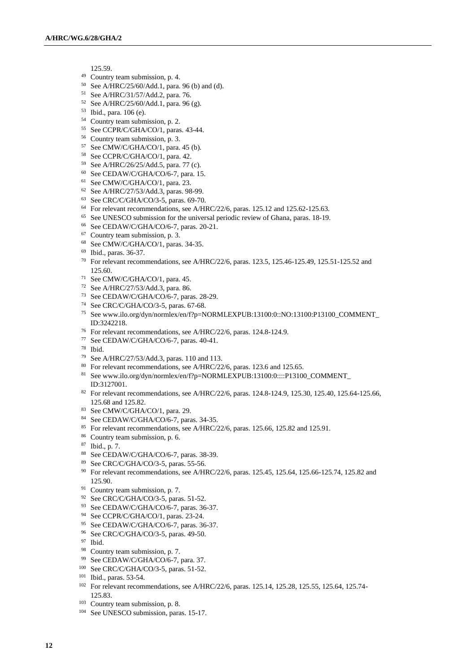125.59.

- Country team submission, p. 4.
- See A/HRC/25/60/Add.1, para. 96 (b) and (d).
- See A/HRC/31/57/Add.2, para. 76.
- See A/HRC/25/60/Add.1, para. 96 (g).
- Ibid., para. 106 (e).
- Country team submission, p. 2.
- See CCPR/C/GHA/CO/1, paras. 43-44.
- Country team submission, p. 3.
- See CMW/C/GHA/CO/1, para. 45 (b).
- See CCPR/C/GHA/CO/1, para. 42.
- See A/HRC/26/25/Add.5, para. 77 (c).
- See CEDAW/C/GHA/CO/6-7, para. 15.
- See CMW/C/GHA/CO/1, para. 23.
- See A/HRC/27/53/Add.3, paras. 98-99.
- See CRC/C/GHA/CO/3-5, paras. 69-70.
- For relevant recommendations, see A/HRC/22/6, paras. 125.12 and 125.62-125.63.
- See UNESCO submission for the universal periodic review of Ghana, paras. 18-19.
- See CEDAW/C/GHA/CO/6-7, paras. 20-21.
- Country team submission, p. 3.
- See CMW/C/GHA/CO/1, paras. 34-35.
- Ibid., paras. 36-37.
- For relevant recommendations, see A/HRC/22/6, paras. 123.5, 125.46-125.49, 125.51-125.52 and 125.60.
- See CMW/C/GHA/CO/1, para. 45.
- See A/HRC/27/53/Add.3, para. 86.
- See CEDAW/C/GHA/CO/6-7, paras. 28-29.
- See CRC/C/GHA/CO/3-5, paras. 67-68.
- See www.ilo.org/dyn/normlex/en/f?p=NORMLEXPUB:13100:0::NO:13100:P13100\_COMMENT\_ ID:3242218.
- For relevant recommendations, see A/HRC/22/6, paras. 124.8-124.9.
- See CEDAW/C/GHA/CO/6-7, paras. 40-41.
- Ibid.
- See A/HRC/27/53/Add.3, paras. 110 and 113.
- <sup>80</sup> For relevant recommendations, see A/HRC/22/6, paras. 123.6 and 125.65.
- See www.ilo.org/dyn/normlex/en/f?p=NORMLEXPUB:13100:0::::P13100\_COMMENT\_ ID:3127001.
- 82 For relevant recommendations, see A/HRC/22/6, paras. 124.8-124.9, 125.30, 125.40, 125.64-125.66, 125.68 and 125.82.
- See CMW/C/GHA/CO/1, para. 29.
- See CEDAW/C/GHA/CO/6-7, paras. 34-35.
- For relevant recommendations, see A/HRC/22/6, paras. 125.66, 125.82 and 125.91.
- Country team submission, p. 6.
- Ibid., p. 7.
- See CEDAW/C/GHA/CO/6-7, paras. 38-39.
- See CRC/C/GHA/CO/3-5, paras. 55-56.
- <sup>90</sup> For relevant recommendations, see A/HRC/22/6, paras. 125.45, 125.64, 125.66-125.74, 125.82 and 125.90.
- Country team submission, p. 7.
- See CRC/C/GHA/CO/3-5, paras. 51-52.
- See CEDAW/C/GHA/CO/6-7, paras. 36-37.
- 94 See CCPR/C/GHA/CO/1, paras. 23-24.
- See CEDAW/C/GHA/CO/6-7, paras. 36-37.
- See CRC/C/GHA/CO/3-5, paras. 49-50.
- Ibid.
- Country team submission, p. 7.
- 99 See CEDAW/C/GHA/CO/6-7, para. 37.
- See CRC/C/GHA/CO/3-5, paras. 51-52.
- Ibid., paras. 53-54.
- <sup>102</sup> For relevant recommendations, see A/HRC/22/6, paras. 125.14, 125.28, 125.55, 125.64, 125.74-125.83.
- Country team submission, p. 8.
- See UNESCO submission, paras. 15-17.